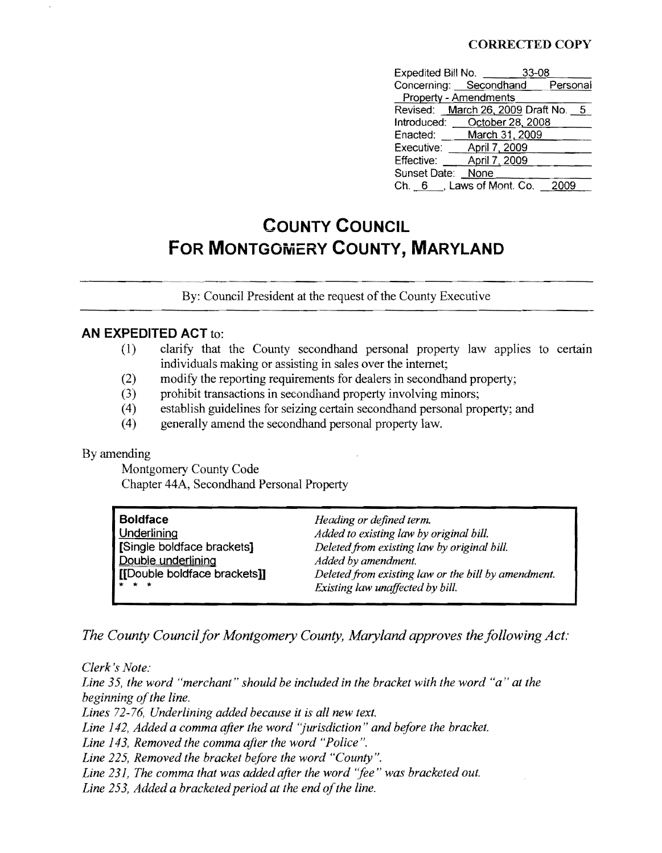#### CORRECTED COpy

| Expedited Bill No.    |                                     | $33 - 08$ |  |
|-----------------------|-------------------------------------|-----------|--|
|                       | Concerning: Secondhand Personal     |           |  |
| Property - Amendments |                                     |           |  |
|                       | Revised: March 26, 2009 Draft No. 5 |           |  |
|                       | Introduced: ___October 28, 2008     |           |  |
|                       | Enacted: March 31, 2009             |           |  |
| Executive:            | April 7, 2009                       |           |  |
| Effective:            | April 7, 2009                       |           |  |
| Sunset Date: None     |                                     |           |  |
|                       | Ch. 6 , Laws of Mont. Co.           | -2009     |  |

# **COUNTY COUNCIL FOR MONTGOMERY COUNTY, MARYLAND**

By: Council President at the request of the County Executive

#### **AN EXPEDITED ACT** to:

- (1) clarify that the County secondhand personal property law applies to certain individuals making or assisting in sales over the internet;
- (2) modify the reporting requirements for dealers in secondhand property;
- (3) prohibit transactions in secondhand property involving minors;
- (4) establish guidelines for seizing certain secondhand personal property; and
- (4) generally amend the secondhand personal property law.

#### By amending

Montgomery County Code Chapter 44A, Secondhand Personal Property

| <b>Boldface</b>                                                                    | Heading or defined term.                    |
|------------------------------------------------------------------------------------|---------------------------------------------|
| Underlining                                                                        | Added to existing law by original bill.     |
| Single boldface brackets]                                                          | Deleted from existing law by original bill. |
| Double underlining                                                                 | Added by amendment.                         |
| [Double boldface brackets]]<br>Deleted from existing law or the bill by amendment. |                                             |
| * * *                                                                              | Existing law unaffected by bill.            |

*The County Council for Montgomery County, Maryland approves the following Act;* 

*Clerk's Note: Line 35, the word "merchant" should be included in the bracket with the word "a" at the beginning ofthe line. Lines* 72-76, *Underlining added because it is all new text. Line* 142, *Added a comma after the word "jurisdiction" and before the bracket. Line* 143, *Removed the comma after the word "Police". Line* 225, *Removed the bracket before the word "County".*  Line 231, The comma that was added after the word "fee" was bracketed out. Line 253, *Added a bracketed period at the end of the line.*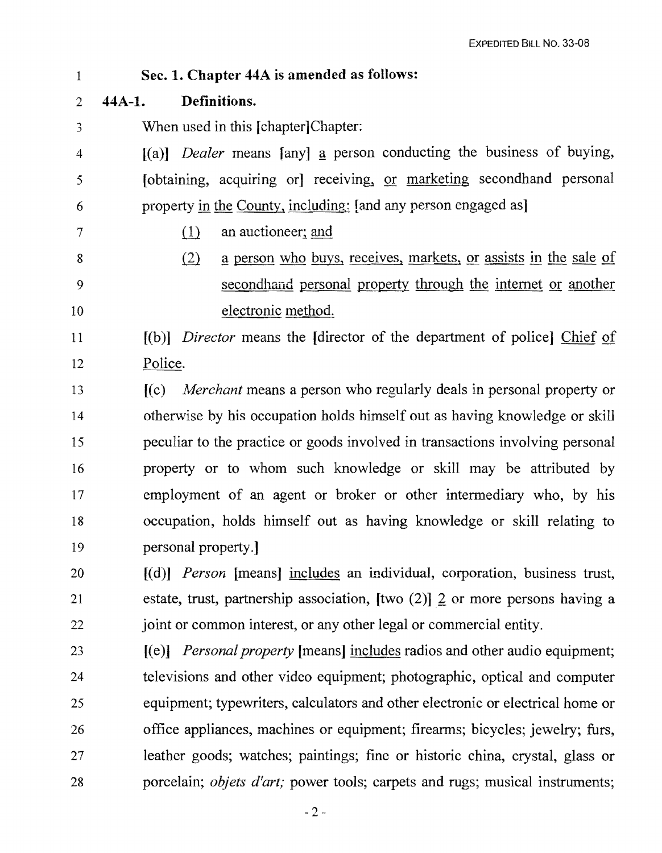- 1 2 3 4 5 6 7 8 9 10 11 12 13 14 15 16 17 18 19 20 21 22 23 24 25 26 Sec. 1. Chapter 44A is amended as follows: 44A-1. Definitions. When used in this [chapter]Chapter: [(a)] *Dealer* means [any] a person conducting the business of buying, [obtaining, acquiring or] receiving, or marketing secondhand personal property in the County, including: [and any person engaged as]  $(1)$  an auctioneer; and  $\delta$  a person who buys, receives, markets, or assists in the sale of secondhand personal property through the internet or another electronic method. [(b)] *Director* means the [director of the department of police] Chief of Police. [(c) *Merchant* means a person who regularly deals in personal property or otherwise by his occupation holds himself out as having knowledge or ski11 peculiar to the practice or goods involved in transactions involving personal property or to whom such knowledge or skill may be attributed by employment of an agent or broker or other intermediary who, by his occupation, holds himself out as having knowledge or skill relating to personal property.] [(d)] *Person* [means] includes an individual, corporation, business trust, estate, trust, partnership association,  $[two (2)]$  2 or more persons having a joint or common interest, or any other legal or commercial entity. [(e)] *Personal property* [means] includes radios and other audio equipment; televisions and other video equipment; photographic, optical and computer equipment; typewriters, calculators and other electronic or electrical home or office appliances, machines or equipment; firearms; bicycles; jewelry; furs,
- 27 28 leather goods; watches; paintings; fine or historic china, crystal, glass or porcelain; *objets d'art;* power tools; carpets and rugs; musical instruments;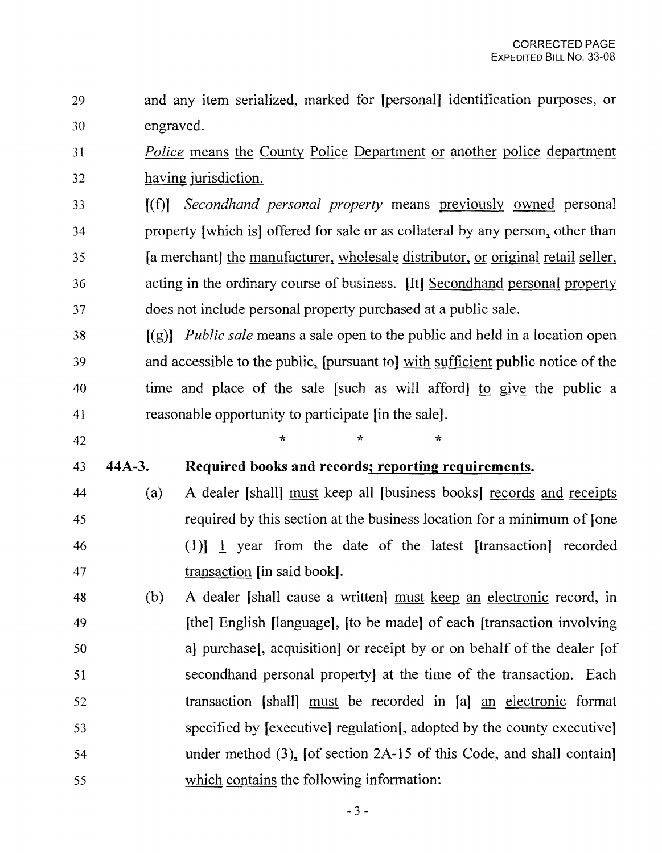- 29 and any item serialized, marked for [personal] identification purposes, or 30 engraved.
- 31 Police means the County Police Department or another police department 32 having jurisdiction.
- 33 [(f)] *Secondhand personal property* means previously owned personal 34 property [which is] offered for sale or as collateral by any person, other than 35 [a merchant] the manufacturer, wholesale distributor, or original retail seller, 36 acting in the ordinary course of business. [It] Secondhand personal property 37 does not include personal property purchased at a public sale.

38 [(g)] *Public sale* means a sale open to the public and held in a location open 39 and accessible to the public, [pursuant to] with sufficient public notice of the 40 time and place of the sale [such as will afford] to give the public a 41 reasonable opportunity to participate [in the sale].

- 42  $*$  \* \* \* 43 44A-3. Required books and records; reporting requirements.
- 44 (a) A dealer [shall] must keep all [business books] records and receipts 45 required by this section at the business location for a minimum of [one 46 (1)] 1 year from the date of the latest [transaction] recorded 47 transaction [in said book].
- 48 (b) A dealer [shall cause a written] must keep an electronic record, in 49 [the] English [language], [to be made] of each [transaction involving 50 a] purchase[, acquisition] or receipt by or on behalf of the dealer [of 51 secondhand personal property] at the time of the transaction. Each 52 transaction [shall] must be recorded in [a] an electronic format 53 specified by [executive] regulation[, adopted by the county executive] 54 under method (3), [of section 2A-15 of this Code, and shall contain] 55 which contains the following information: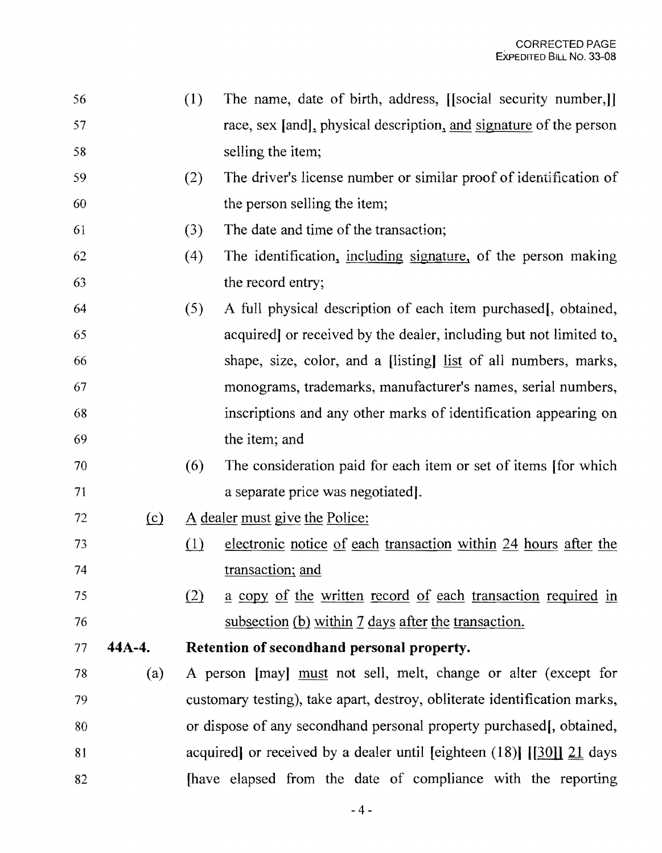- 56 (1) The name, date of birth, address, [[social security number,]] 57 race, sex [and], physical description, and signature of the person 58 selling the item;
- 59 (2) The driver's license number or similar proof of identification of 60 the person selling the item;
- 61 (3) The date and time of the transaction;
- 62 (4) The identification, including signature, of the person making 63 the record entry;
- 64 (5) A full physical description of each item purchased[, obtained, 65 acquired] or received by the dealer, including but not limited to,. 66 shape, size, color, and a [listing] list of all numbers, marks, 67 monograms, trademarks, manufacturer's names, serial numbers, 68 inscriptions and any other marks of identification appearing on 69 the item; and
- 70 (6) The consideration paid for each item or set of items [for which 71 a separate price was negotiated].
- $72$  (c) A dealer must give the Police:
- 73 (1) electronic notice of each transaction within 24 hours after the 74 transaction; and
- $\frac{75}{2}$  (2) a copy of the written record of each transaction required in 76 subsection (b) within 7 days after the transaction.
- 77 **44A-4. Retention of secondhand personal property.**
- 78 (a) A person [may] must not sell, melt, change or alter (except for 79 customary testing), take apart, destroy, obliterate identification marks, 80 or dispose of any secondhand personal property purchased[, obtained, 81 acquired] or received by a dealer until [eighteen  $(18)$ ] [[30]]  $\overline{21}$  days 82 **Indee S** [have elapsed from the date of compliance with the reporting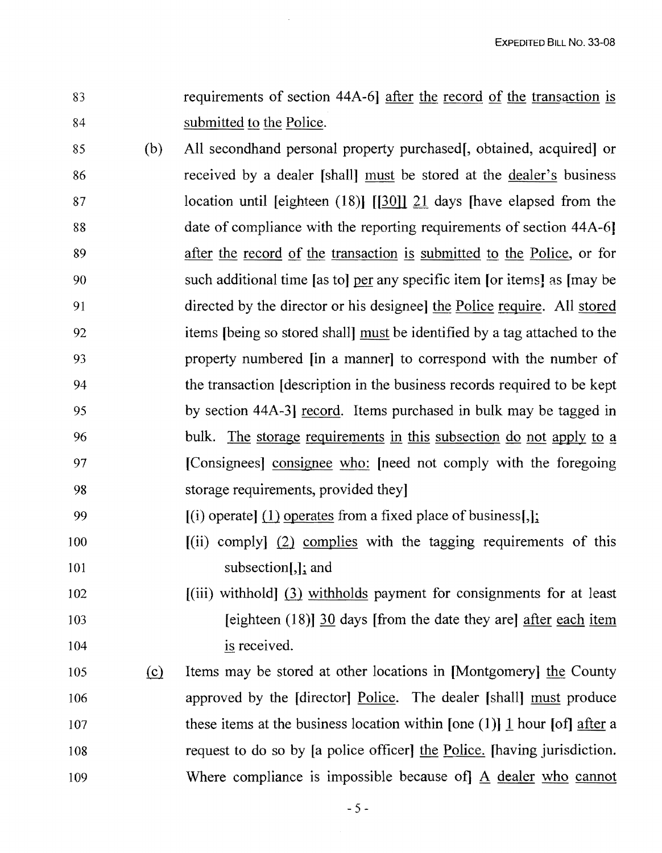- 83 requirements of section 44A-6] after the record of the transaction is 84 submitted to the Police.
- 85 (b) All secondhand personal property purchased[, obtained, acquired] or 86 received by a dealer [shall] must be stored at the dealer's business 87 location until [eighteen (18)] [[30]] 21 days [have elapsed from the 88 date of compliance with the reporting requirements of section 44A-6] 89 after the record of the transaction is submitted to the Police, or for 90 such additional time [as to] per any specific item [or items] as [may be 91 directed by the director or his designee] the Police require. All stored 92 items [being so stored shall] must be identified by a tag attached to the 93 property numbered [in a manner] to correspond with the number of 94 the transaction [description in the business records required to be kept 95 by section 44A-3] record. Items purchased in bulk may be tagged in 96 bulk. The storage requirements in this subsection do not apply to a 97 [Consignees] consignee who: [need not comply with the foregoing 98 storage requirements, provided they]
- 99  $[(i)$  operate] (1) operates from a fixed place of business[,];
- $100$  [(ii) comply] (2) complies with the tagging requirements of this 101 subsection[,]; and
- 102 [(iii) withhold (3) withholds payment for consignments for at least 103 [eighteen (18)] 30 days [from the date they are] after each item 104 is received.
- 105 (£} Items may be stored at other locations in [Montgomery] the County 106 approved by the [director] Police. The dealer [shall] must produce 107 these items at the business location within [one (1)] 1 hour [of] after a 108 request to do so by [a police officer] the Police. [having jurisdiction. 109 Where compliance is impossible because of] A dealer who cannot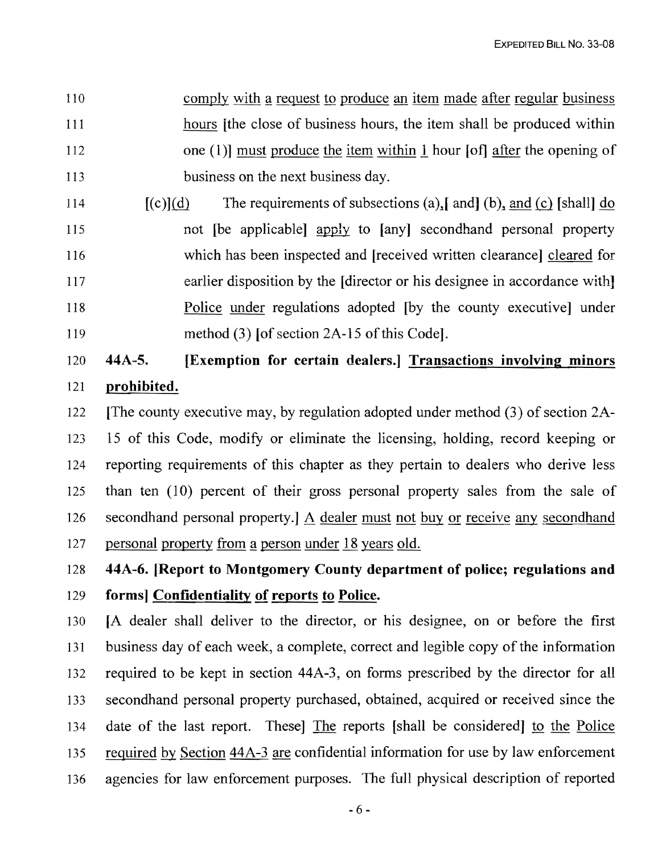110 comply with a request to produce an item made after regular business 111 hours [the close of business hours, the item shall be produced within 112 one (1)] must produce the item within 1 hour [of] after the opening of 113 business on the next business day.

114  $[(c)](d)$  The requirements of subsections (a), [ and [b], and  $(c)$  [shall] do 115 not [be applicable] apply to [any] secondhand personal property 116 which has been inspected and [received written clearance] cleared for 117 earlier disposition by the [director or his designee in accordance with] 118 Police under regulations adopted [by the county executive] under 119 method (3) [of section 2A-15 of this Code].

# 120 44A-S. [Exemption for certain dealers.] Transactions involving minors 121 prohibited.

122 [The county executive may, by regulation adopted under method (3) of section 2A-123 15 of this Code, modify or eliminate the licensing, holding, record keeping or 124 reporting requirements of this chapter as they pertain to dealers who derive less 125 than ten (10) percent of their gross personal property sales from the sale of 126 secondhand personal property.] A dealer must not buy or receive any secondhand 127 personal property from a person under 18 years old.

128 44A-6. [Report to Montgomery County department of police; regulations and

## 129 forms] Confidentiality of reports to Police.

130 [A dealer shall deliver to the director, or his designee, on or before the first 131 business day of each week, a complete, correct and legible copy of the information 132 required to be kept in section 44A-3, on forms prescribed by the director for all 133 secondhand personal property purchased, obtained, acquired or received since the 134 date of the last report. These] The reports [shall be considered] to the Police 135 required by Section 44A-3 are confidential information for use by law enforcement 136 agencies for law enforcement purposes. The full physical description of reported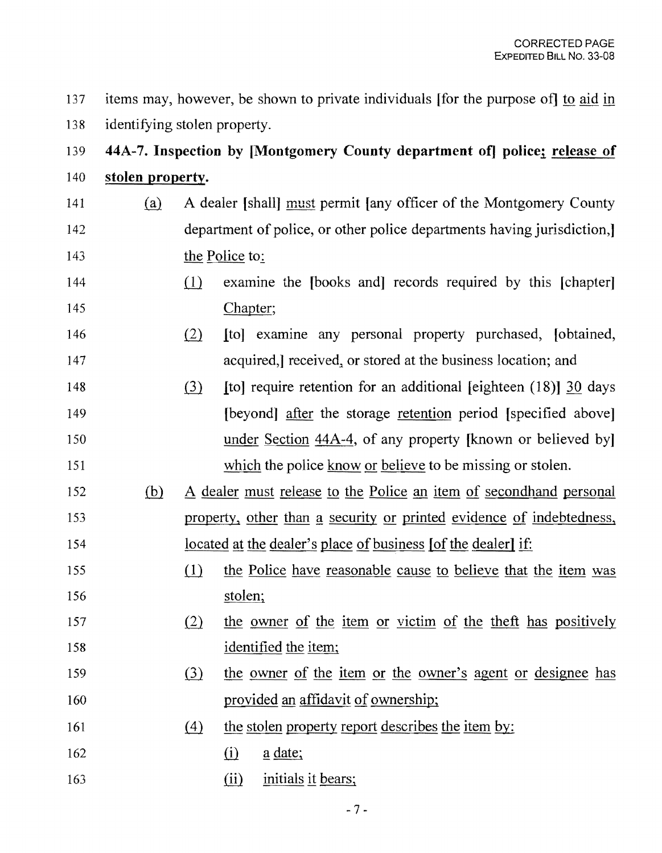137 items may, however, be shown to private individuals [for the purpose of] to aid in 138 identifying stolen property.

# 139 **44A-7. Inspection by [Montgomery County department of] police; release of** 140 **stolen property.**

- 141 (a) A dealer [shall] must permit [any officer of the Montgomery County 142 department of police, or other police departments having jurisdiction,] 143 the Police to:
- $(1)$  examine the [books and] records required by this [chapter] 145 Chapter;
- 146 (2) Itol examine any personal property purchased, *[obtained,* 147 **acquired,** received, or stored at the business location; and
- 148 (3) Itol require retention for an additional leighteen (18) 30 days 149 **[beyond]** after the storage retention period [specified above] 150 **under Section 44A-4, of any property [known or believed by]** 151 which the police know or believe to be missing or stolen.
- 152 (b) A dealer must release to the Police an item of secondhand personal 153 property, other than a security or printed evidence of indebtedness, 154 located at the dealer's place of business [of the dealer] if:
- 155 (1) the Police have reasonable cause to believe that the item was 156 stolen;
- 157 (2) the owner of the item or victim of the theft has positively 158 identified the item;
- 159 (3) the owner of the item or the owner's agent or designee has 160 **provided an affidavit of ownership;**
- 161 (4) the stolen property report describes the item by:
- $162$  (i) a date;
- 163 (ii) initials it bears;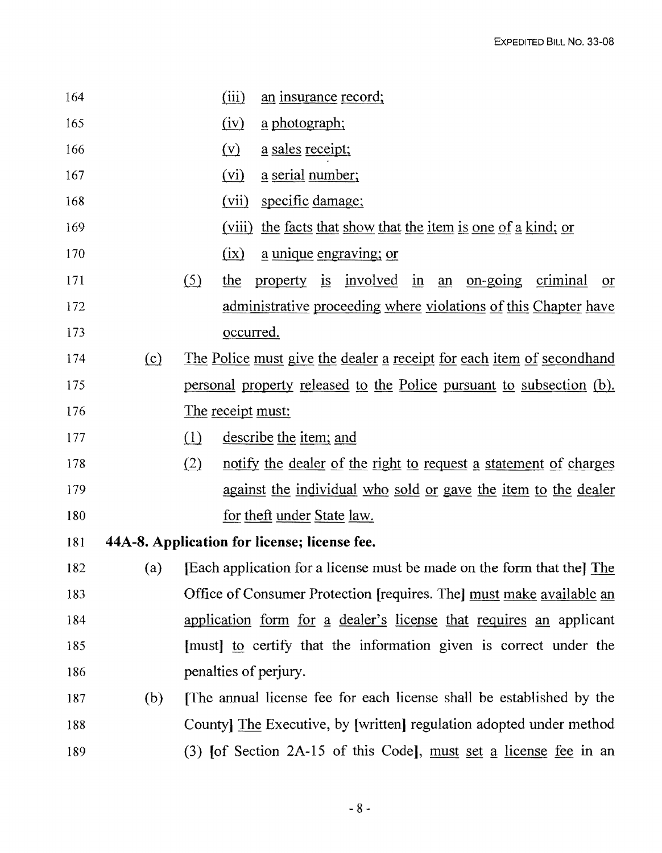| 164 |     | (iii)                                                                            | an insurance record;                                            |  |
|-----|-----|----------------------------------------------------------------------------------|-----------------------------------------------------------------|--|
| 165 |     | (iv)                                                                             | a photograph;                                                   |  |
| 166 |     | $(\underline{v})$                                                                | a sales receipt;                                                |  |
| 167 |     | (vi)                                                                             | a serial number;                                                |  |
| 168 |     | (vii)                                                                            | specific damage;                                                |  |
| 169 |     | (viii)                                                                           | the facts that show that the item is one of a kind; or          |  |
| 170 |     | (ix)                                                                             | <u>a unique engraving; or</u>                                   |  |
| 171 |     | (5)<br>the                                                                       | property is involved in an on-going criminal<br>or              |  |
| 172 |     |                                                                                  | administrative proceeding where violations of this Chapter have |  |
| 173 |     |                                                                                  | occurred.                                                       |  |
| 174 | (c) | <u>The Police must give the dealer a receipt for each item of secondhand</u>     |                                                                 |  |
| 175 |     | personal property released to the Police pursuant to subsection (b).             |                                                                 |  |
| 176 |     | The receipt must:                                                                |                                                                 |  |
| 177 |     | describe the item; and<br>(1)                                                    |                                                                 |  |
| 178 |     | (2)<br>notify the dealer of the right to request a statement of charges          |                                                                 |  |
| 179 |     | against the individual who sold or gave the item to the dealer                   |                                                                 |  |
| 180 |     |                                                                                  | for theft under State law.                                      |  |
| 181 |     |                                                                                  | 44A-8. Application for license; license fee.                    |  |
| 182 |     | (a) [Each application for a license must be made on the form that the $\Phi$ The |                                                                 |  |
| 183 |     | Office of Consumer Protection [requires. The] must make available an             |                                                                 |  |
| 184 |     | application form for a dealer's license that requires an applicant               |                                                                 |  |
| 185 |     | [must] to certify that the information given is correct under the                |                                                                 |  |
| 186 |     | penalties of perjury.                                                            |                                                                 |  |
| 187 | (b) | The annual license fee for each license shall be established by the              |                                                                 |  |
| 188 |     | County The Executive, by [written] regulation adopted under method               |                                                                 |  |
| 189 |     | (3) [of Section 2A-15 of this Code], must set a license fee in an                |                                                                 |  |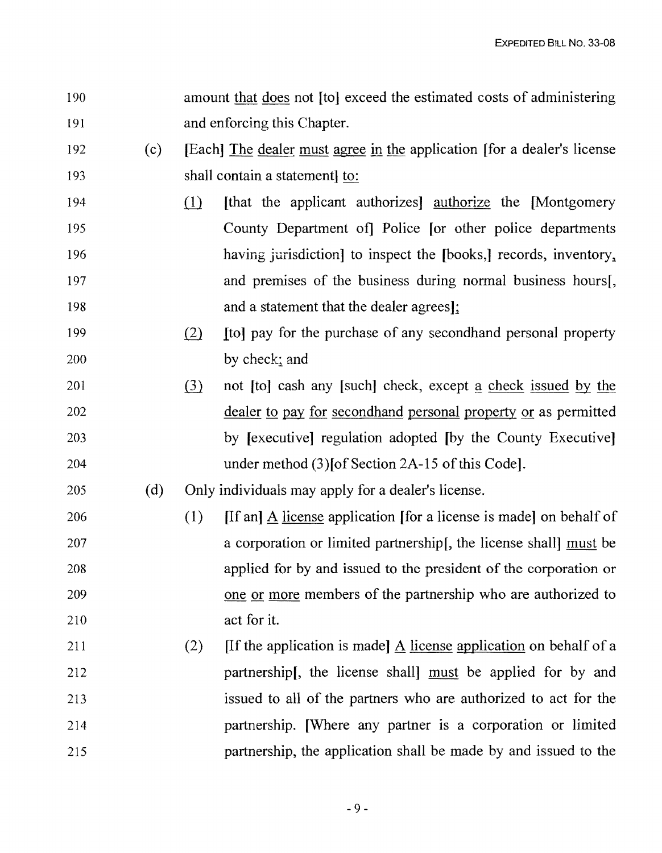- 190 amount that does not [to) exceed the estimated costs of administering 191 and enforcing this Chapter.
- 192 (c) [Each] The dealer must agree in the application [for a dealer's license 193 shall contain a statement) to:
- 194 (1) Ithat the applicant authorizes] authorize the [Montgomery 195 County Department of] Police [or other police departments 196 having jurisdiction to inspect the [books,] records, inventory, 197 and premises of the business during normal business hours[, 198 **and a statement that the dealer agrees**];
- 199 (2) Ito] pay for the purchase of any secondhand personal property 200 by check; and
- 201 (3) not [to] cash any [such] check, except a check issued by the 202 dealer to pay for secondhand personal property or as permitted 203 by [executive] regulation adopted [by the County Executive] 204 under method (3) [of Section 2A-15 of this Code].

205 (d) Only individuals may apply for a dealer's license.

- 206 (1) If and A license application for a license is madel on behalf of 207 a corporation or limited partnership [, the license shall] must be 208 applied for by and issued to the president of the corporation or 209 one or more members of the partnership who are authorized to 210 act for it.
- 211 (2) If the application is made A license application on behalf of a 212 partnership[, the license shall] must be applied for by and 213 issued to all of the partners who are authorized to act for the 214 partnership. [Where any partner is a corporation or limited 215 partnership, the application shall be made by and issued to the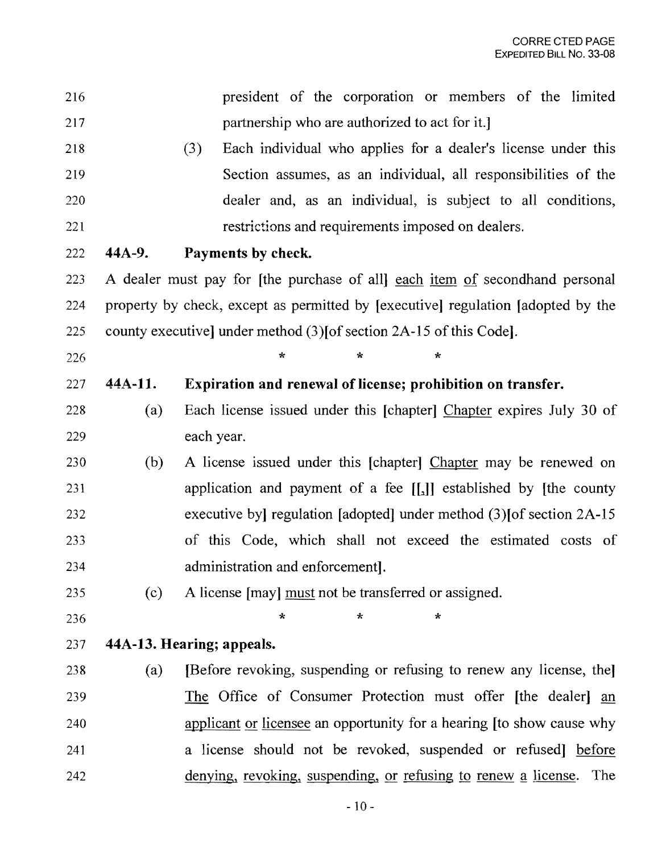| 216 |                                                                                  | president of the corporation or members of the limited                        |  |  |
|-----|----------------------------------------------------------------------------------|-------------------------------------------------------------------------------|--|--|
| 217 | partnership who are authorized to act for it.]                                   |                                                                               |  |  |
| 218 | Each individual who applies for a dealer's license under this<br>(3)             |                                                                               |  |  |
| 219 |                                                                                  | Section assumes, as an individual, all responsibilities of the                |  |  |
| 220 |                                                                                  | dealer and, as an individual, is subject to all conditions,                   |  |  |
| 221 |                                                                                  | restrictions and requirements imposed on dealers.                             |  |  |
| 222 | 44A-9.                                                                           | Payments by check.                                                            |  |  |
| 223 |                                                                                  | A dealer must pay for [the purchase of all] each item of second hand personal |  |  |
| 224 | property by check, except as permitted by [executive] regulation [adopted by the |                                                                               |  |  |
| 225 | county executive] under method $(3)$ [of section 2A-15 of this Code].            |                                                                               |  |  |
| 226 |                                                                                  | $\star$<br>÷<br>*                                                             |  |  |
| 227 | 44A-11.                                                                          | Expiration and renewal of license; prohibition on transfer.                   |  |  |
| 228 | (a)                                                                              | Each license issued under this [chapter] Chapter expires July 30 of           |  |  |
| 229 |                                                                                  | each year.                                                                    |  |  |
| 230 | (b)                                                                              | A license issued under this [chapter] Chapter may be renewed on               |  |  |
| 231 |                                                                                  | application and payment of a fee [[1]] established by [the county             |  |  |
| 232 |                                                                                  | executive by regulation [adopted] under method (3) [of section 2A-15          |  |  |
| 233 |                                                                                  | of this Code, which shall not exceed the estimated costs of                   |  |  |
| 234 |                                                                                  | administration and enforcement.                                               |  |  |
| 235 | (c)                                                                              | A license [may] must not be transferred or assigned.                          |  |  |
| 236 |                                                                                  | ÷<br>$\star$<br>∗                                                             |  |  |
| 237 | 44A-13. Hearing; appeals.                                                        |                                                                               |  |  |
| 238 | (a)                                                                              | [Before revoking, suspending or refusing to renew any license, the]           |  |  |
| 239 |                                                                                  | The Office of Consumer Protection must offer [the dealer] an                  |  |  |
| 240 |                                                                                  | applicant or licensee an opportunity for a hearing [to show cause why         |  |  |
| 241 |                                                                                  | a license should not be revoked, suspended or refused before                  |  |  |
| 242 |                                                                                  | denying, revoking, suspending, or refusing to renew a license.<br>The         |  |  |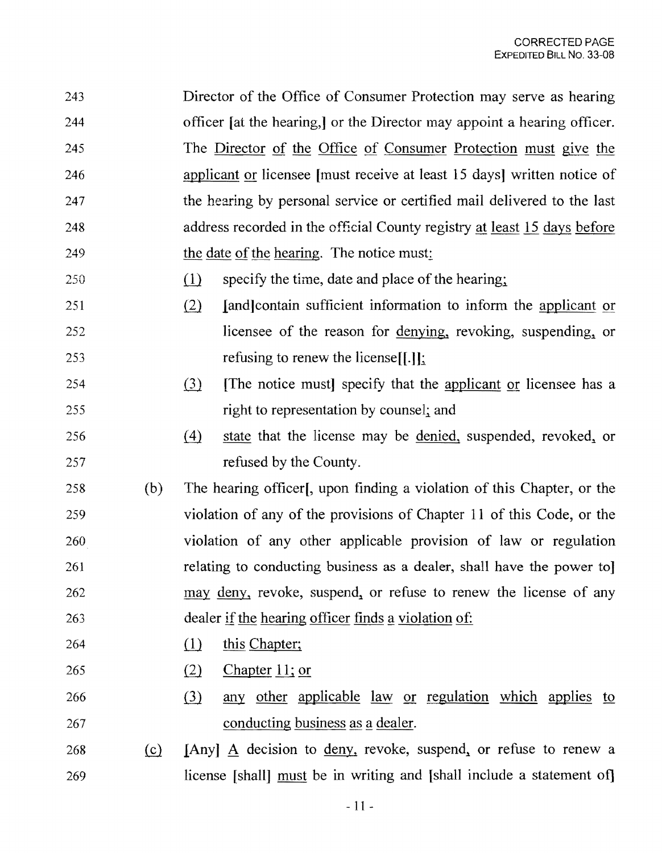- 243 Director of the Office of Consumer Protection may serve as hearing 244 officer [at the hearing,] or the Director may appoint a hearing officer. 245 The Director of the Office of Consumer Protection must give the 246 applicant or licensee [must receive at least 15 days] written notice of 247 the hearing by personal service or certified mail delivered to the last 248 address recorded in the official County registry at least 15 days before 249 the date of the hearing. The notice must:
- $250$  (1) specify the time, date and place of the hearing;
- 251 (2) [and contain sufficient information to inform the applicant or 252 licensee of the reason for denying, revoking, suspending, or 253 refusing to renew the license.
- 254 (3) The notice must specify that the applicant or licensee has a 255 right to representation by counsel; and
- 256 (4) state that the license may be denied, suspended, revoked, or 257 refused by the County.
- 258 (b) The hearing officer(, upon finding a violation of this Chapter, or the 259 violation of any of the provisions of Chapter 11 of this Code, or the 260 violation of any other applicable provision of law or regulation 261 relating to conducting business as a dealer, shall have the power to] 262 may deny, revoke, suspend, or refuse to renew the license of any 263 dealer if the hearing officer finds a violation of:
- 264 (1) this Chapter;
- $265$  (2) Chapter 11; or
- 266 (3) any other applicable law or regulation which applies to 267 conducting business as a dealer.
- 268 (c) [Any] A decision to deny, revoke, suspend, or refuse to renew a 269 license [shall] must be in writing and [shall include a statement of]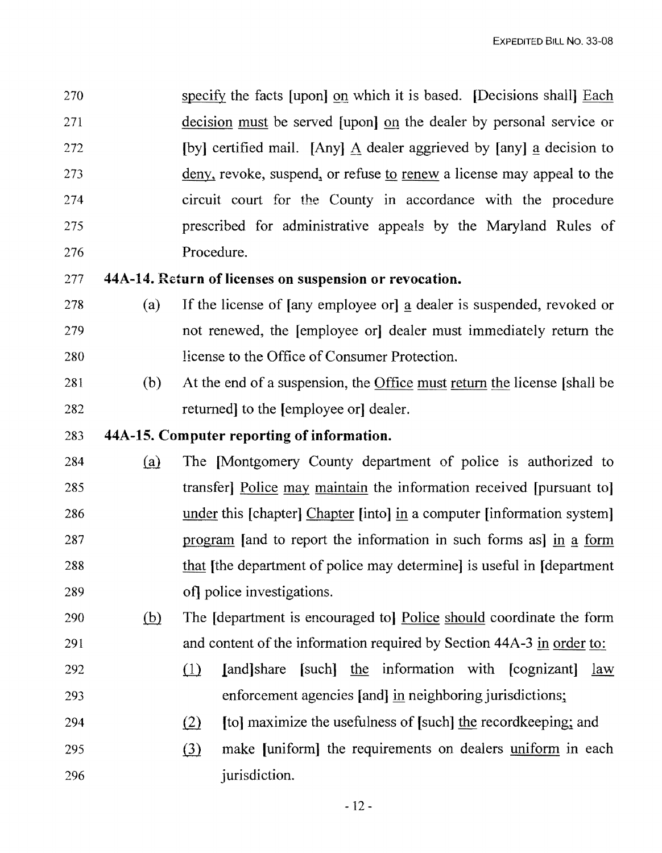270 specify the facts [upon] on which it is based. [Decisions shall] Each 271 decision must be served [upon] on the dealer by personal service or 272 [by] certified mail. [Any] A dealer aggrieved by [any] a decision to 273 deny, revoke, suspend, or refuse to renew a license may appeal to the 274 circuit court for the County in accordance with the procedure 275 prescribed for administrative appeals by the Maryland Rules of 276 Procedure.

277 44A-14. Return of licenses on suspension or revocation.

- 278 (a) If the license of [any employee or] a dealer is suspended, revoked or 279 not renewed, the [employee or] dealer must immediately return the 280 license to the Office of Consumer Protection.
- 281 (b) At the end of a suspension, the Office must return the license [shall be 282 returned to the [employee or] dealer.

### 283 44A-15. Computer reporting of information.

- 284 (a) The [Montgomery County department of police is authorized to 285 transfer] Police may maintain the information received [pursuant to] 286 under this [chapter] Chapter [into] in a computer [information system] 287 program [and to report the information in such forms as] in a form 288 that [the department of police may determine] is useful in [department] 289 of] police investigations.
- 290 (b) The Idepartment is encouraged to] Police should coordinate the form 291 and content of the information required by Section 44A-3 in order to:
- 292 (1) Iand share [such] the information with  $[cognizant]$  law 293 enforcement agencies [and] in neighboring jurisdictions;
- 294  $(2)$  [to] maximize the usefulness of [such] the recordkeeping; and
- 295 (3) make [uniform] the requirements on dealers uniform in each 296 *jurisdiction.*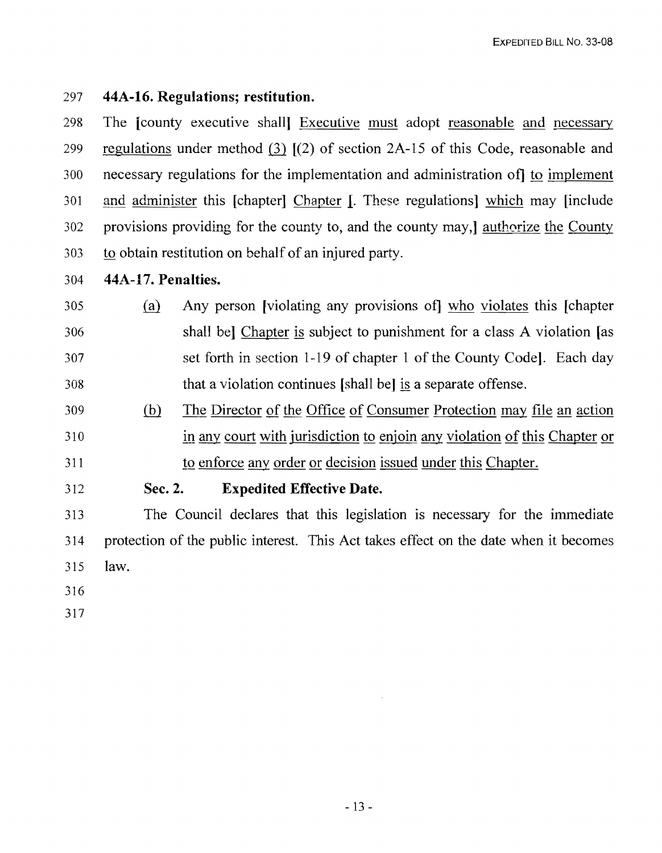## 297 **44A-16. Regulations; restitution.**

298 The [county executive shall] Executive must adopt reasonable and necessary 299 regulations under method (3)  $I(2)$  of section 2A-15 of this Code, reasonable and 300 necessary regulations for the implementation and administration of] to implement 301 and administer this [chapter1 Chapter I. These regulations1 which may [include 302 provisions providing for the county to, and the county may, authorize the County 303 to obtain restitution on behalf of an injured party.

### 304 **44A-17. Penalties.**

- 305 (a) Any person [violating any provisions of] who violates this [chapter 306 shall bel Chapter is subject to punishment for a class A violation [as 307 set forth in section 1-19 of chapter 1 of the County Code1. Each day 308 that a violation continues [shall be) is a separate offense.
- 309 (hl The Director of the Office of Consumer Protection may file an action 310 in any court with jurisdiction to enjoin any violation of this Chapter or 311 to enforce any order or decision issued under this Chapter.
- 

## 312 **Sec. 2. Expedited Effective Date.**

313 The Council declares that this legislation is necessary for the immediate 314 protection of the public interest. This Act takes effect on the date when it becomes 315 law.

- 316
- 317